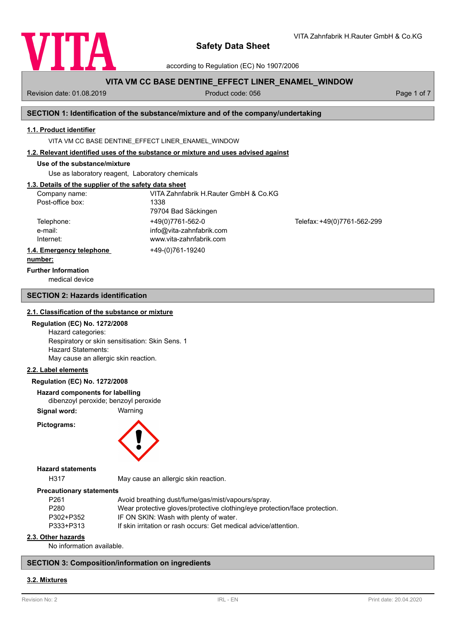

according to Regulation (EC) No 1907/2006

# **VITA VM CC BASE DENTINE\_EFFECT LINER\_ENAMEL\_WINDOW**

Revision date: 01.08.2019 **Product code: 056** Product code: 056 Page 1 of 7

VITA Zahnfabrik H.Rauter GmbH & Co.KG

## **SECTION 1: Identification of the substance/mixture and of the company/undertaking**

## **1.1. Product identifier**

VITA VM CC BASE DENTINE\_EFFECT LINER\_ENAMEL\_WINDOW

## **1.2. Relevant identified uses of the substance or mixture and uses advised against**

## **Use of the substance/mixture**

Use as laboratory reagent, Laboratory chemicals

## **1.3. Details of the supplier of the safety data sheet**

| Company name:            | VITA Zahnfabrik H.Rauter GmbH & Co.KG |                             |
|--------------------------|---------------------------------------|-----------------------------|
| Post-office box:         | 1338                                  |                             |
|                          | 79704 Bad Säckingen                   |                             |
| Telephone:               | +49(0)7761-562-0                      | Telefax: +49(0)7761-562-299 |
| e-mail:                  | info@vita-zahnfabrik.com              |                             |
| Internet:                | www.vita-zahnfabrik.com               |                             |
| 1.4. Emergency telephone | +49-(0)761-19240                      |                             |
| المتمام والممتنعة        |                                       |                             |

#### **number:**

**Further Information**

medical device

## **SECTION 2: Hazards identification**

#### **2.1. Classification of the substance or mixture**

## **Regulation (EC) No. 1272/2008**

Hazard categories: Respiratory or skin sensitisation: Skin Sens. 1 Hazard Statements: May cause an allergic skin reaction.

#### **2.2. Label elements**

## **Regulation (EC) No. 1272/2008**

**Hazard components for labelling**

dibenzoyl peroxide; benzoyl peroxide

**Signal word:** Warning

**Pictograms:**



#### **Hazard statements**

H317 May cause an allergic skin reaction.

#### **Precautionary statements**

| P <sub>261</sub> | Avoid breathing dust/fume/gas/mist/vapours/spray.                          |
|------------------|----------------------------------------------------------------------------|
| P <sub>280</sub> | Wear protective gloves/protective clothing/eye protection/face protection. |
| P302+P352        | IF ON SKIN: Wash with plenty of water.                                     |
| P333+P313        | If skin irritation or rash occurs: Get medical advice/attention.           |
|                  |                                                                            |

## **2.3. Other hazards**

No information available.

## **SECTION 3: Composition/information on ingredients**

## **3.2. Mixtures**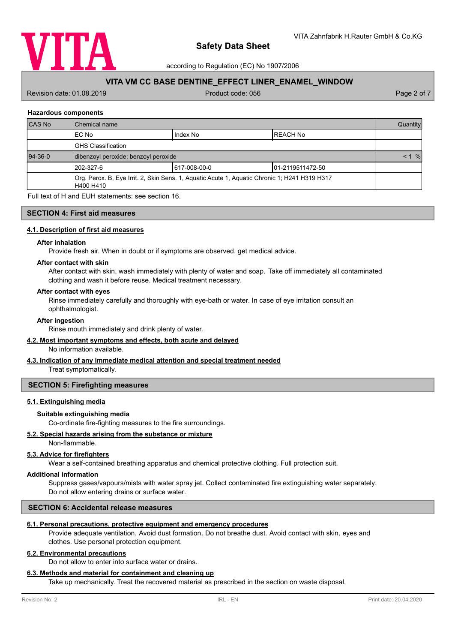

according to Regulation (EC) No 1907/2006

## **VITA VM CC BASE DENTINE\_EFFECT LINER\_ENAMEL\_WINDOW**

Revision date: 01.08.2019 **Product code: 056** Product code: 056 Page 2 of 7

## **Hazardous components**

| <b>CAS No</b> | Chemical name                                                                                              |               | Quantity                  |  |
|---------------|------------------------------------------------------------------------------------------------------------|---------------|---------------------------|--|
|               | EC No                                                                                                      | Index No      | IREACH No                 |  |
|               | <b>GHS Classification</b>                                                                                  |               |                           |  |
| $94 - 36 - 0$ | dibenzoyl peroxide; benzoyl peroxide                                                                       |               | $\frac{9}{6}$<br>$\leq 1$ |  |
|               | 1202-327-6                                                                                                 | 1617-008-00-0 | 101-2119511472-50         |  |
|               | Org. Perox. B, Eye Irrit. 2, Skin Sens. 1, Aquatic Acute 1, Aquatic Chronic 1; H241 H319 H317<br>H400 H410 |               |                           |  |

Full text of H and EUH statements: see section 16.

## **SECTION 4: First aid measures**

## **4.1. Description of first aid measures**

#### **After inhalation**

Provide fresh air. When in doubt or if symptoms are observed, get medical advice.

#### **After contact with skin**

After contact with skin, wash immediately with plenty of water and soap. Take off immediately all contaminated clothing and wash it before reuse. Medical treatment necessary.

#### **After contact with eyes**

Rinse immediately carefully and thoroughly with eye-bath or water. In case of eye irritation consult an ophthalmologist.

#### **After ingestion**

Rinse mouth immediately and drink plenty of water.

## **4.2. Most important symptoms and effects, both acute and delayed**

No information available.

## **4.3. Indication of any immediate medical attention and special treatment needed**

Treat symptomatically.

## **SECTION 5: Firefighting measures**

## **5.1. Extinguishing media**

## **Suitable extinguishing media**

Co-ordinate fire-fighting measures to the fire surroundings.

## **5.2. Special hazards arising from the substance or mixture**

Non-flammable.

## **5.3. Advice for firefighters**

Wear a self-contained breathing apparatus and chemical protective clothing. Full protection suit.

#### **Additional information**

Suppress gases/vapours/mists with water spray jet. Collect contaminated fire extinguishing water separately. Do not allow entering drains or surface water.

## **SECTION 6: Accidental release measures**

#### **6.1. Personal precautions, protective equipment and emergency procedures**

Provide adequate ventilation. Avoid dust formation. Do not breathe dust. Avoid contact with skin, eyes and clothes. Use personal protection equipment.

## **6.2. Environmental precautions**

Do not allow to enter into surface water or drains.

## **6.3. Methods and material for containment and cleaning up**

Take up mechanically. Treat the recovered material as prescribed in the section on waste disposal.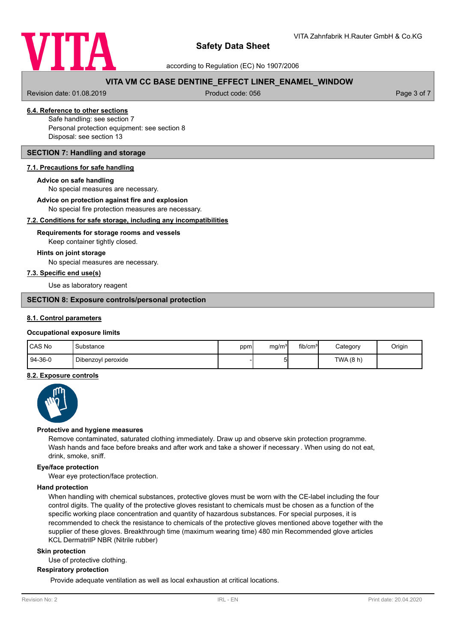

according to Regulation (EC) No 1907/2006

# **VITA VM CC BASE DENTINE\_EFFECT LINER\_ENAMEL\_WINDOW**

Revision date: 01.08.2019 **Product code: 056** Product code: 056 Page 3 of 7

# **6.4. Reference to other sections**

Safe handling: see section 7 Personal protection equipment: see section 8 Disposal: see section 13

## **SECTION 7: Handling and storage**

## **7.1. Precautions for safe handling**

#### **Advice on safe handling**

No special measures are necessary.

**Advice on protection against fire and explosion**

No special fire protection measures are necessary.

## **7.2. Conditions for safe storage, including any incompatibilities**

## Keep container tightly closed. **Requirements for storage rooms and vessels**

#### **Hints on joint storage**

No special measures are necessary.

## **7.3. Specific end use(s)**

Use as laboratory reagent

## **SECTION 8: Exposure controls/personal protection**

## **8.1. Control parameters**

#### **Occupational exposure limits**

| CAS No    | Substance          | ppm | mg/m <sup>3</sup> | fib/cm <sup>3</sup> | Category | Origin |
|-----------|--------------------|-----|-------------------|---------------------|----------|--------|
| $94-36-0$ | Dibenzoyl peroxide |     | י                 |                     | TWA(8 h) |        |

## **8.2. Exposure controls**



#### **Protective and hygiene measures**

Remove contaminated, saturated clothing immediately. Draw up and observe skin protection programme. Wash hands and face before breaks and after work and take a shower if necessary . When using do not eat, drink, smoke, sniff.

## **Eye/face protection**

Wear eye protection/face protection.

## **Hand protection**

When handling with chemical substances, protective gloves must be worn with the CE-label including the four control digits. The quality of the protective gloves resistant to chemicals must be chosen as a function of the specific working place concentration and quantity of hazardous substances. For special purposes, it is recommended to check the resistance to chemicals of the protective gloves mentioned above together with the supplier of these gloves. Breakthrough time (maximum wearing time) 480 min Recommended glove articles KCL DermatrilP NBR (Nitrile rubber)

#### **Skin protection**

Use of protective clothing.

## **Respiratory protection**

Provide adequate ventilation as well as local exhaustion at critical locations.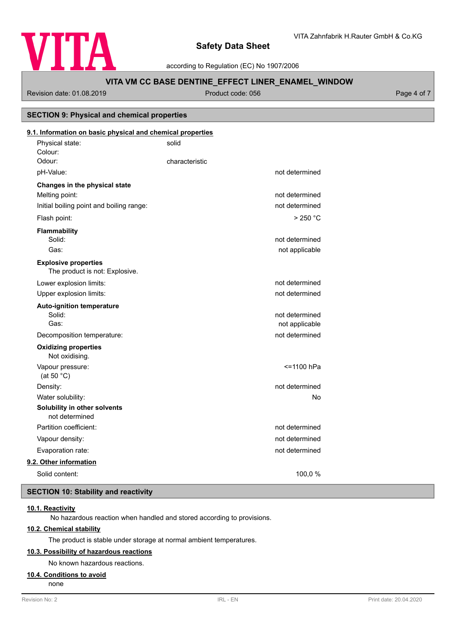

according to Regulation (EC) No 1907/2006

# **VITA VM CC BASE DENTINE\_EFFECT LINER\_ENAMEL\_WINDOW**

Revision date: 01.08.2019 **Product code: 056** Product code: 056 Page 4 of 7

**SECTION 9: Physical and chemical properties**

# Physical state: solid Colour: **9.1. Information on basic physical and chemical properties** Odour: Characteristic pH-Value: not determined **Changes in the physical state** Melting point: not determined Initial boiling point and boiling range: not determined Flash point: > 250 °C **Flammability** Solid: **not determined** and the solid: **not determined** and the solid: **not determined** and the solid: **not determined** and the solid: **not determined** and the solid: **not determined** and the solid: **note** that the solid: Gas: contract the contract of the contract of the contract of the contract of the contract of the contract of the contract of the contract of the contract of the contract of the contract of the contract of the contract of The product is not: Explosive. **Explosive properties** Lower explosion limits:  $\qquad \qquad \qquad$  not determined Upper explosion limits:  $\blacksquare$ **Auto-ignition temperature** Solid: **not determined** and the solid: **not determined** and the solid: **not determined** and the solid: **not determined** and the solid: **not determined** and the solid: **not determined** and the solid: **note** that the solid: Gas: Gas: not applicable contract to the contract of the contract of the contract of the contract of the contract of the contract of the contract of the contract of the contract of the contract of the contract of the contr Decomposition temperature: not determined Not oxidising. **Oxidizing properties** Vapour pressure:  $\le$  1100 hPa (at 50 °C) Density: not determined Water solubility: No **Solubility in other solvents** not determined Partition coefficient: not determined Vapour density: not determined Evaporation rate: not determined **9.2. Other information** Solid content: 100,0 %

## **SECTION 10: Stability and reactivity**

## **10.1. Reactivity**

No hazardous reaction when handled and stored according to provisions.

## **10.2. Chemical stability**

The product is stable under storage at normal ambient temperatures.

## **10.3. Possibility of hazardous reactions**

No known hazardous reactions.

## **10.4. Conditions to avoid**

none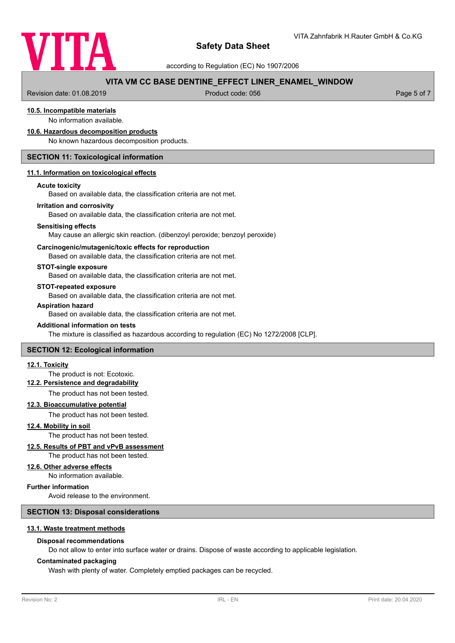

according to Regulation (EC) No 1907/2006

## **VITA VM CC BASE DENTINE\_EFFECT LINER\_ENAMEL\_WINDOW**

Revision date: 01.08.2019 **Product code: 056** Product code: 056 Page 5 of 7

## **10.5. Incompatible materials**

No information available.

#### **10.6. Hazardous decomposition products**

No known hazardous decomposition products.

## **SECTION 11: Toxicological information**

#### **11.1. Information on toxicological effects**

#### **Acute toxicity**

Based on available data, the classification criteria are not met.

#### **Irritation and corrosivity**

Based on available data, the classification criteria are not met.

#### **Sensitising effects**

May cause an allergic skin reaction. (dibenzoyl peroxide; benzoyl peroxide)

#### **Carcinogenic/mutagenic/toxic effects for reproduction**

Based on available data, the classification criteria are not met.

## **STOT-single exposure**

Based on available data, the classification criteria are not met.

#### **STOT-repeated exposure**

Based on available data, the classification criteria are not met.

#### **Aspiration hazard**

Based on available data, the classification criteria are not met.

#### **Additional information on tests**

The mixture is classified as hazardous according to regulation (EC) No 1272/2008 [CLP].

## **SECTION 12: Ecological information**

#### **12.1. Toxicity**

## The product is not: Ecotoxic.

## **12.2. Persistence and degradability**

The product has not been tested.

## **12.3. Bioaccumulative potential**

The product has not been tested.

**12.4. Mobility in soil**

## The product has not been tested.

## **12.5. Results of PBT and vPvB assessment**

The product has not been tested.

## **12.6. Other adverse effects**

No information available.

## **Further information**

Avoid release to the environment.

## **SECTION 13: Disposal considerations**

## **13.1. Waste treatment methods**

## **Disposal recommendations**

Do not allow to enter into surface water or drains. Dispose of waste according to applicable legislation.

## **Contaminated packaging**

Wash with plenty of water. Completely emptied packages can be recycled.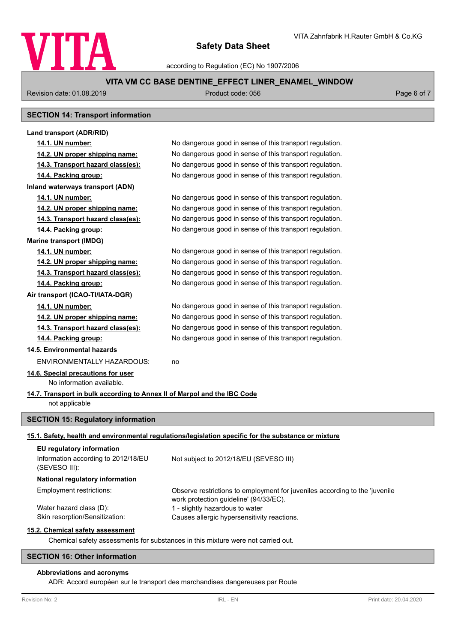

according to Regulation (EC) No 1907/2006

# **VITA VM CC BASE DENTINE\_EFFECT LINER\_ENAMEL\_WINDOW**

Revision date: 01.08.2019 **Product code: 056** Product code: 056 Page 6 of 7

# **SECTION 14: Transport information**

| Land transport (ADR/RID)                                                         |                                                                                                                       |  |
|----------------------------------------------------------------------------------|-----------------------------------------------------------------------------------------------------------------------|--|
| 14.1. UN number:                                                                 | No dangerous good in sense of this transport regulation.                                                              |  |
| 14.2. UN proper shipping name:                                                   | No dangerous good in sense of this transport regulation.                                                              |  |
| 14.3. Transport hazard class(es):                                                | No dangerous good in sense of this transport regulation.                                                              |  |
| 14.4. Packing group:                                                             | No dangerous good in sense of this transport regulation.                                                              |  |
| Inland waterways transport (ADN)                                                 |                                                                                                                       |  |
| 14.1. UN number:                                                                 | No dangerous good in sense of this transport regulation.                                                              |  |
| 14.2. UN proper shipping name:                                                   | No dangerous good in sense of this transport regulation.                                                              |  |
| 14.3. Transport hazard class(es):                                                | No dangerous good in sense of this transport regulation.                                                              |  |
| 14.4. Packing group:                                                             | No dangerous good in sense of this transport regulation.                                                              |  |
| <b>Marine transport (IMDG)</b>                                                   |                                                                                                                       |  |
| 14.1. UN number:                                                                 | No dangerous good in sense of this transport regulation.                                                              |  |
| 14.2. UN proper shipping name:                                                   | No dangerous good in sense of this transport regulation.                                                              |  |
| 14.3. Transport hazard class(es):                                                | No dangerous good in sense of this transport regulation.                                                              |  |
| 14.4. Packing group:                                                             | No dangerous good in sense of this transport regulation.                                                              |  |
| Air transport (ICAO-TI/IATA-DGR)                                                 |                                                                                                                       |  |
| 14.1. UN number:                                                                 | No dangerous good in sense of this transport regulation.                                                              |  |
| 14.2. UN proper shipping name:                                                   | No dangerous good in sense of this transport regulation.                                                              |  |
| 14.3. Transport hazard class(es):                                                | No dangerous good in sense of this transport regulation.                                                              |  |
| 14.4. Packing group:                                                             | No dangerous good in sense of this transport regulation.                                                              |  |
| 14.5. Environmental hazards                                                      |                                                                                                                       |  |
| ENVIRONMENTALLY HAZARDOUS:                                                       | no                                                                                                                    |  |
| 14.6. Special precautions for user<br>No information available.                  |                                                                                                                       |  |
| 14.7. Transport in bulk according to Annex II of Marpol and the IBC Code         |                                                                                                                       |  |
| not applicable                                                                   |                                                                                                                       |  |
|                                                                                  |                                                                                                                       |  |
| <b>SECTION 15: Regulatory information</b>                                        |                                                                                                                       |  |
|                                                                                  | 15.1. Safety, health and environmental regulations/legislation specific for the substance or mixture                  |  |
| EU regulatory information                                                        |                                                                                                                       |  |
| Information according to 2012/18/EU<br>(SEVESO III):                             | Not subject to 2012/18/EU (SEVESO III)                                                                                |  |
| National regulatory information                                                  |                                                                                                                       |  |
| Employment restrictions:                                                         | Observe restrictions to employment for juveniles according to the 'juvenile<br>work protection guideline' (94/33/EC). |  |
| Water hazard class (D):<br>Skin resorption/Sensitization:                        | 1 - slightly hazardous to water<br>Causes allergic hypersensitivity reactions.                                        |  |
| 15.2. Chemical safety assessment                                                 |                                                                                                                       |  |
| Chemical safety assessments for substances in this mixture were not carried out. |                                                                                                                       |  |
| <b>SECTION 16: Other information</b>                                             |                                                                                                                       |  |

## **Abbreviations and acronyms**

ADR: Accord européen sur le transport des marchandises dangereuses par Route